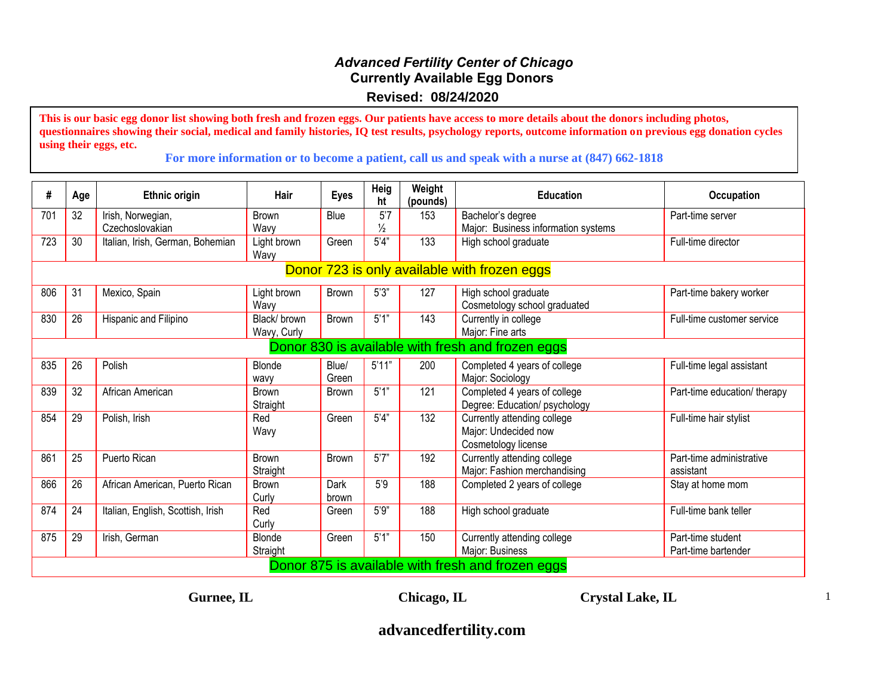## *Advanced Fertility Center of Chicago* **Currently Available Egg Donors Revised: 08/24/2020**

**This is our basic egg donor list showing both fresh and frozen eggs. Our patients have access to more details about the donors including photos, questionnaires showing their social, medical and family histories, IQ test results, psychology reports, outcome information on previous egg donation cycles using their eggs, etc.**

**For more information or to become a patient, call us and speak with a nurse at (847) 662-1818**

| #                                                 | Age                                               | <b>Ethnic origin</b>              | Hair                | <b>Eyes</b>  | Heig<br>ht    | Weight<br>(pounds) | <b>Education</b>                    | <b>Occupation</b>            |  |  |
|---------------------------------------------------|---------------------------------------------------|-----------------------------------|---------------------|--------------|---------------|--------------------|-------------------------------------|------------------------------|--|--|
| 701                                               | 32                                                | Irish, Norwegian,                 | <b>Brown</b>        | Blue         | 5'7           | 153                | Bachelor's degree                   | Part-time server             |  |  |
|                                                   |                                                   | Czechoslovakian                   | Wavy                |              | $\frac{1}{2}$ |                    | Major: Business information systems |                              |  |  |
| 723                                               | 30                                                | Italian, Irish, German, Bohemian  | Light brown<br>Wavy | Green        | 5'4"          | 133                | High school graduate                | Full-time director           |  |  |
| Donor 723 is only available with frozen eggs      |                                                   |                                   |                     |              |               |                    |                                     |                              |  |  |
| 806                                               | 31                                                | Mexico, Spain                     | Light brown         | <b>Brown</b> | 5'3''         | 127                | High school graduate                | Part-time bakery worker      |  |  |
|                                                   |                                                   |                                   | Wavy                |              |               |                    | Cosmetology school graduated        |                              |  |  |
| 830                                               | 26                                                | Hispanic and Filipino             | Black/brown         | <b>Brown</b> | 5'1"          | 143                | Currently in college                | Full-time customer service   |  |  |
|                                                   |                                                   |                                   | Wavy, Curly         |              |               |                    | Major: Fine arts                    |                              |  |  |
| Donor 830 is available with fresh and frozen eggs |                                                   |                                   |                     |              |               |                    |                                     |                              |  |  |
| 835                                               | 26                                                | Polish                            | Blonde              | Blue/        | 5'11"         | 200                | Completed 4 years of college        | Full-time legal assistant    |  |  |
|                                                   |                                                   |                                   | wavy                | Green        |               |                    | Major: Sociology                    |                              |  |  |
| 839                                               | 32                                                | African American                  | Brown               | Brown        | 5'1''         | 121                | Completed 4 years of college        | Part-time education/ therapy |  |  |
|                                                   |                                                   |                                   | Straight            |              |               |                    | Degree: Education/ psychology       |                              |  |  |
| 854                                               | 29                                                | Polish, Irish                     | Red                 | Green        | 5'4"          | 132                | Currently attending college         | Full-time hair stylist       |  |  |
|                                                   |                                                   |                                   | Wavy                |              |               |                    | Major: Undecided now                |                              |  |  |
|                                                   |                                                   |                                   |                     |              |               |                    | Cosmetology license                 |                              |  |  |
| 861                                               | 25                                                | Puerto Rican                      | <b>Brown</b>        | <b>Brown</b> | 5'7''         | 192                | Currently attending college         | Part-time administrative     |  |  |
|                                                   |                                                   |                                   | Straight            |              |               |                    | Major: Fashion merchandising        | assistant                    |  |  |
| 866                                               | 26                                                | African American, Puerto Rican    | <b>Brown</b>        | Dark         | 5'9           | 188                | Completed 2 years of college        | Stay at home mom             |  |  |
|                                                   |                                                   |                                   | Curly               | brown        |               |                    |                                     |                              |  |  |
| 874                                               | 24                                                | Italian, English, Scottish, Irish | Red                 | Green        | 5'9''         | 188                | High school graduate                | Full-time bank teller        |  |  |
|                                                   |                                                   |                                   | Curly               |              |               |                    |                                     |                              |  |  |
| 875                                               | 29                                                | Irish, German                     | Blonde              | Green        | 5'1"          | 150                | Currently attending college         | Part-time student            |  |  |
|                                                   |                                                   |                                   | Straight            |              |               |                    | Major: Business                     | Part-time bartender          |  |  |
|                                                   | Donor 875 is available with fresh and frozen eggs |                                   |                     |              |               |                    |                                     |                              |  |  |

**Gurnee, IL Chicago, IL Crystal Lake, IL**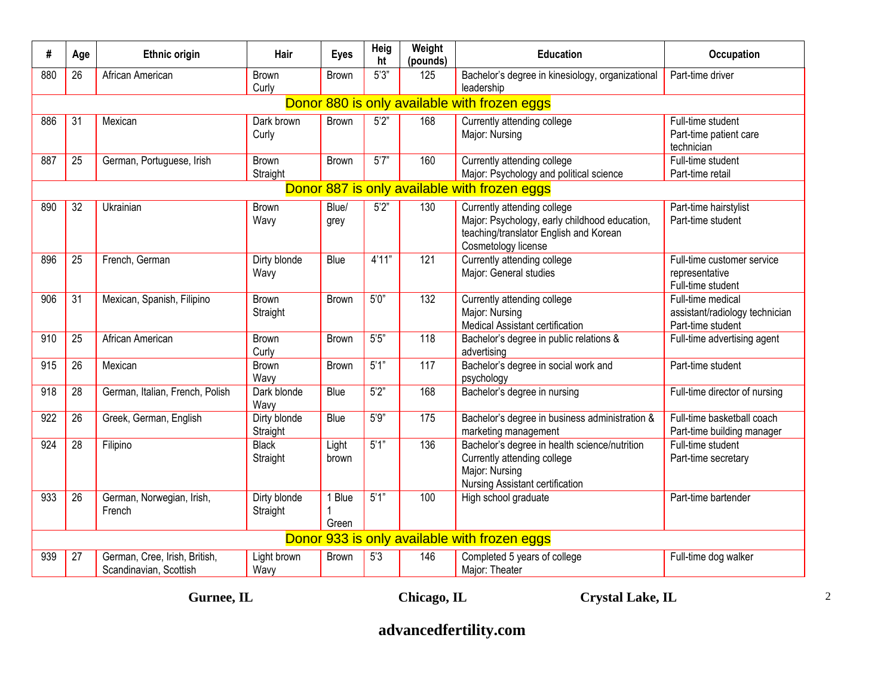| #                                            | Age             | <b>Ethnic origin</b>                                    | Hair                     | <b>Eyes</b>     | Heig<br>ht | Weight<br>(pounds) | <b>Education</b>                                                                                                                              | <b>Occupation</b>                                                        |  |  |  |
|----------------------------------------------|-----------------|---------------------------------------------------------|--------------------------|-----------------|------------|--------------------|-----------------------------------------------------------------------------------------------------------------------------------------------|--------------------------------------------------------------------------|--|--|--|
| 880                                          | 26              | African American                                        | Brown<br>Curly           | <b>Brown</b>    | 5'3''      | 125                | Bachelor's degree in kinesiology, organizational<br>leadership                                                                                | Part-time driver                                                         |  |  |  |
| Donor 880 is only available with frozen eggs |                 |                                                         |                          |                 |            |                    |                                                                                                                                               |                                                                          |  |  |  |
| 886                                          | 31              | Mexican                                                 | Dark brown<br>Curly      | <b>Brown</b>    | 5'2"       | 168                | Currently attending college<br>Major: Nursing                                                                                                 | Full-time student<br>Part-time patient care<br>technician                |  |  |  |
| 887                                          | $\overline{25}$ | German, Portuguese, Irish                               | <b>Brown</b><br>Straight | <b>Brown</b>    | 5'7''      | 160                | Currently attending college<br>Major: Psychology and political science                                                                        | Full-time student<br>Part-time retail                                    |  |  |  |
|                                              |                 |                                                         |                          |                 |            |                    | Donor 887 is only available with frozen eggs                                                                                                  |                                                                          |  |  |  |
| 890                                          | 32              | Ukrainian                                               | <b>Brown</b><br>Wavy     | Blue/<br>grey   | 5'2"       | 130                | Currently attending college<br>Major: Psychology, early childhood education,<br>teaching/translator English and Korean<br>Cosmetology license | Part-time hairstylist<br>Part-time student                               |  |  |  |
| 896                                          | 25              | French, German                                          | Dirty blonde<br>Wavy     | Blue            | 4'11''     | 121                | Currently attending college<br>Major: General studies                                                                                         | Full-time customer service<br>representative<br>Full-time student        |  |  |  |
| 906                                          | 31              | Mexican, Spanish, Filipino                              | <b>Brown</b><br>Straight | <b>Brown</b>    | 5'0''      | 132                | Currently attending college<br>Major: Nursing<br>Medical Assistant certification                                                              | Full-time medical<br>assistant/radiology technician<br>Part-time student |  |  |  |
| 910                                          | 25              | African American                                        | <b>Brown</b><br>Curly    | <b>Brown</b>    | 5'5"       | 118                | Bachelor's degree in public relations &<br>advertising                                                                                        | Full-time advertising agent                                              |  |  |  |
| 915                                          | 26              | Mexican                                                 | Brown<br>Wavy            | <b>Brown</b>    | 5'1"       | 117                | Bachelor's degree in social work and<br>psychology                                                                                            | Part-time student                                                        |  |  |  |
| 918                                          | 28              | German, Italian, French, Polish                         | Dark blonde<br>Wavy      | Blue            | 5'2"       | 168                | Bachelor's degree in nursing                                                                                                                  | Full-time director of nursing                                            |  |  |  |
| 922                                          | 26              | Greek, German, English                                  | Dirty blonde<br>Straight | Blue            | 5'9''      | 175                | Bachelor's degree in business administration &<br>marketing management                                                                        | Full-time basketball coach<br>Part-time building manager                 |  |  |  |
| 924                                          | 28              | Filipino                                                | Black<br>Straight        | Light<br>brown  | 5'1"       | 136                | Bachelor's degree in health science/nutrition<br>Currently attending college<br>Major: Nursing<br>Nursing Assistant certification             | Full-time student<br>Part-time secretary                                 |  |  |  |
| 933                                          | 26              | German, Norwegian, Irish,<br>French                     | Dirty blonde<br>Straight | 1 Blue<br>Green | 5'1"       | 100                | High school graduate                                                                                                                          | Part-time bartender                                                      |  |  |  |
|                                              |                 |                                                         |                          |                 |            |                    | Donor 933 is only available with frozen eggs                                                                                                  |                                                                          |  |  |  |
| 939                                          | 27              | German, Cree, Irish, British,<br>Scandinavian, Scottish | Light brown<br>Wavy      | <b>Brown</b>    | 5'3        | 146                | Completed 5 years of college<br>Major: Theater                                                                                                | Full-time dog walker                                                     |  |  |  |

**Gurnee, IL Chicago, IL Crystal Lake, IL**

2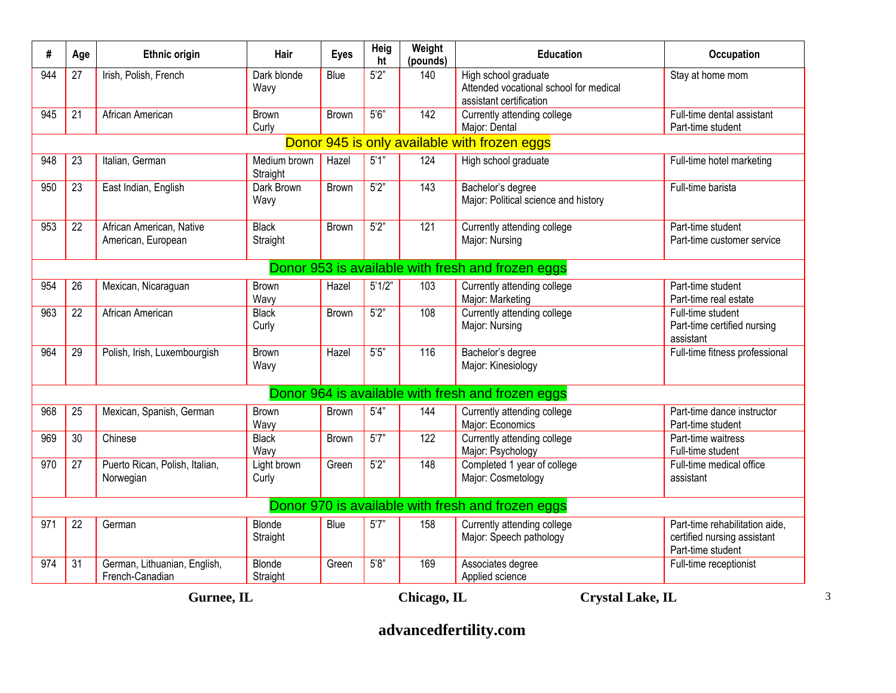| #   | Age                                                  | <b>Ethnic origin</b>                            | Hair                     | <b>Eyes</b>  | <b>Heig</b><br>ht | Weight<br>(pounds) | <b>Education</b>                                                                          | Occupation                                                                         |  |  |  |  |
|-----|------------------------------------------------------|-------------------------------------------------|--------------------------|--------------|-------------------|--------------------|-------------------------------------------------------------------------------------------|------------------------------------------------------------------------------------|--|--|--|--|
| 944 | 27                                                   | Irish, Polish, French                           | Dark blonde<br>Wavy      | Blue         | 5'2"              | 140                | High school graduate<br>Attended vocational school for medical<br>assistant certification | Stay at home mom                                                                   |  |  |  |  |
| 945 | 21                                                   | African American                                | <b>Brown</b><br>Curly    | <b>Brown</b> | 5'6''             | 142                | Currently attending college<br>Major: Dental                                              | Full-time dental assistant<br>Part-time student                                    |  |  |  |  |
|     | Donor 945 is only available with frozen eggs         |                                                 |                          |              |                   |                    |                                                                                           |                                                                                    |  |  |  |  |
| 948 | 23                                                   | Italian, German                                 | Medium brown<br>Straight | Hazel        | 5'1"              | 124                | High school graduate                                                                      | Full-time hotel marketing                                                          |  |  |  |  |
| 950 | 23                                                   | East Indian, English                            | Dark Brown<br>Wavy       | <b>Brown</b> | 5'2"              | 143                | Bachelor's degree<br>Major: Political science and history                                 | Full-time barista                                                                  |  |  |  |  |
| 953 | 22                                                   | African American, Native<br>American, European  | <b>Black</b><br>Straight | <b>Brown</b> | 5'2"              | 121                | Currently attending college<br>Major: Nursing                                             | Part-time student<br>Part-time customer service                                    |  |  |  |  |
|     | Donor 953 is available with fresh and frozen eggs    |                                                 |                          |              |                   |                    |                                                                                           |                                                                                    |  |  |  |  |
| 954 | 26                                                   | Mexican, Nicaraguan                             | <b>Brown</b><br>Wavy     | Hazel        | 5'1/2"            | 103                | Currently attending college<br>Major: Marketing                                           | Part-time student<br>Part-time real estate                                         |  |  |  |  |
| 963 | $\overline{22}$                                      | African American                                | <b>Black</b><br>Curly    | <b>Brown</b> | 5'2"              | 108                | Currently attending college<br>Major: Nursing                                             | Full-time student<br>Part-time certified nursing<br>assistant                      |  |  |  |  |
| 964 | $\overline{29}$                                      | Polish, Irish, Luxembourgish                    | <b>Brown</b><br>Wavy     | Hazel        | 5'5"              | 116                | Bachelor's degree<br>Major: Kinesiology                                                   | Full-time fitness professional                                                     |  |  |  |  |
|     |                                                      |                                                 |                          |              |                   |                    | Donor 964 is available with fresh and frozen eggs                                         |                                                                                    |  |  |  |  |
| 968 | 25                                                   | Mexican, Spanish, German                        | Brown<br>Wavy            | <b>Brown</b> | 5'4''             | 144                | Currently attending college<br>Major: Economics                                           | Part-time dance instructor<br>Part-time student                                    |  |  |  |  |
| 969 | $\overline{30}$                                      | Chinese                                         | <b>Black</b><br>Wavy     | <b>Brown</b> | 5'7''             | 122                | Currently attending college<br>Major: Psychology                                          | Part-time waitress<br>Full-time student                                            |  |  |  |  |
| 970 | 27                                                   | Puerto Rican, Polish, Italian,<br>Norwegian     | Light brown<br>Curly     | Green        | 5'2"              | 148                | Completed 1 year of college<br>Major: Cosmetology                                         | Full-time medical office<br>assistant                                              |  |  |  |  |
|     | Donor 970 is available with fresh and frozen eggs    |                                                 |                          |              |                   |                    |                                                                                           |                                                                                    |  |  |  |  |
| 971 | 22                                                   | German                                          | Blonde<br>Straight       | Blue         | 5'7''             | 158                | Currently attending college<br>Major: Speech pathology                                    | Part-time rehabilitation aide.<br>certified nursing assistant<br>Part-time student |  |  |  |  |
| 974 | 31                                                   | German, Lithuanian, English,<br>French-Canadian | Blonde<br>Straight       | Green        | 5'8"              | 169                | Associates degree<br>Applied science                                                      | Full-time receptionist                                                             |  |  |  |  |
|     | <b>Crystal Lake, IL</b><br>Gurnee, IL<br>Chicago, IL |                                                 |                          |              |                   |                    |                                                                                           |                                                                                    |  |  |  |  |

3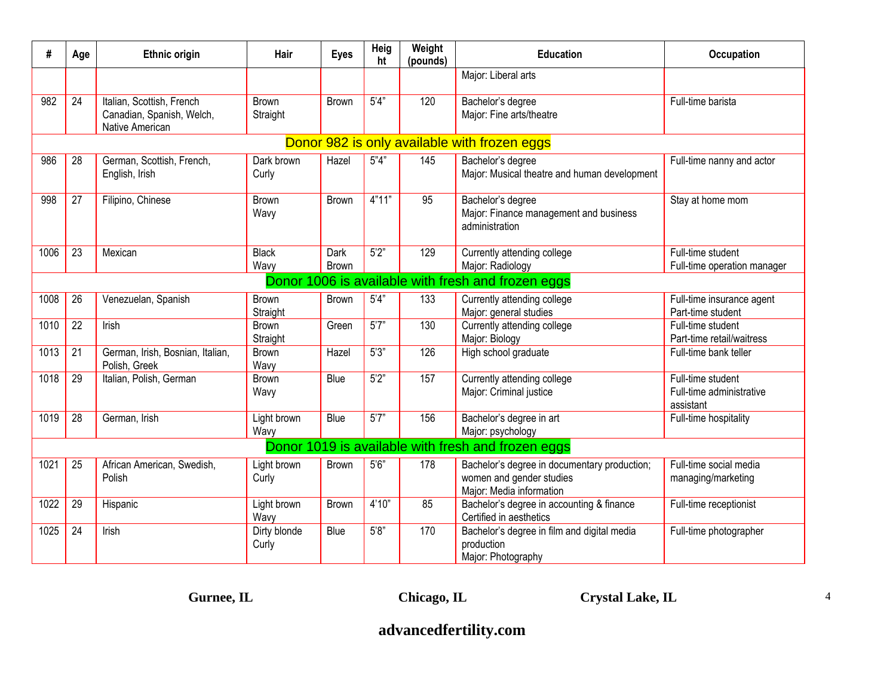| #    | Age                                          | <b>Ethnic origin</b>                                                      | Hair                  | <b>Eyes</b>          | Heig<br>ht | Weight<br>(pounds) | <b>Education</b>                                                                                     | Occupation                                                 |  |  |  |  |
|------|----------------------------------------------|---------------------------------------------------------------------------|-----------------------|----------------------|------------|--------------------|------------------------------------------------------------------------------------------------------|------------------------------------------------------------|--|--|--|--|
|      |                                              |                                                                           |                       |                      |            |                    | Major: Liberal arts                                                                                  |                                                            |  |  |  |  |
| 982  | 24                                           | Italian, Scottish, French<br>Canadian, Spanish, Welch,<br>Native American | Brown<br>Straight     | Brown                | 5'4"       | 120                | Bachelor's degree<br>Major: Fine arts/theatre                                                        | Full-time barista                                          |  |  |  |  |
|      | Donor 982 is only available with frozen eggs |                                                                           |                       |                      |            |                    |                                                                                                      |                                                            |  |  |  |  |
| 986  | 28                                           | German, Scottish, French,<br>English, Irish                               | Dark brown<br>Curly   | Hazel                | 5"4"       | 145                | Bachelor's degree<br>Major: Musical theatre and human development                                    | Full-time nanny and actor                                  |  |  |  |  |
| 998  | $\overline{27}$                              | Filipino, Chinese                                                         | <b>Brown</b><br>Wavy  | <b>Brown</b>         | 4"11"      | 95                 | Bachelor's degree<br>Major: Finance management and business<br>administration                        | Stay at home mom                                           |  |  |  |  |
| 1006 | $\overline{23}$                              | Mexican                                                                   | <b>Black</b><br>Wavy  | Dark<br><b>Brown</b> | 5'2"       | 129                | Currently attending college<br>Major: Radiology                                                      | Full-time student<br>Full-time operation manager           |  |  |  |  |
|      |                                              |                                                                           |                       |                      |            |                    | Donor 1006 is available with fresh and frozen eggs                                                   |                                                            |  |  |  |  |
| 1008 | 26                                           | Venezuelan, Spanish                                                       | Brown<br>Straight     | <b>Brown</b>         | 5'4''      | 133                | Currently attending college<br>Major: general studies                                                | Full-time insurance agent<br>Part-time student             |  |  |  |  |
| 1010 | 22                                           | Irish                                                                     | Brown<br>Straight     | Green                | 5'7"       | 130                | Currently attending college<br>Major: Biology                                                        | Full-time student<br>Part-time retail/waitress             |  |  |  |  |
| 1013 | 21                                           | German, Irish, Bosnian, Italian,<br>Polish, Greek                         | Brown<br>Wavy         | Hazel                | 5'3''      | 126                | High school graduate                                                                                 | Full-time bank teller                                      |  |  |  |  |
| 1018 | $\overline{29}$                              | Italian, Polish, German                                                   | <b>Brown</b><br>Wavy  | <b>Blue</b>          | 5'2"       | 157                | Currently attending college<br>Major: Criminal justice                                               | Full-time student<br>Full-time administrative<br>assistant |  |  |  |  |
| 1019 | $\overline{28}$                              | German, Irish                                                             | Light brown<br>Wavy   | Blue                 | 5'7''      | 156                | Bachelor's degree in art<br>Major: psychology                                                        | Full-time hospitality                                      |  |  |  |  |
|      |                                              |                                                                           |                       |                      |            |                    | Donor 1019 is available with fresh and frozen eggs                                                   |                                                            |  |  |  |  |
| 1021 | 25                                           | African American, Swedish,<br>Polish                                      | Light brown<br>Curly  | <b>Brown</b>         | 5'6''      | 178                | Bachelor's degree in documentary production;<br>women and gender studies<br>Major: Media information | Full-time social media<br>managing/marketing               |  |  |  |  |
| 1022 | 29                                           | Hispanic                                                                  | Light brown<br>Wavy   | <b>Brown</b>         | 4'10''     | 85                 | Bachelor's degree in accounting & finance<br>Certified in aesthetics                                 | Full-time receptionist                                     |  |  |  |  |
| 1025 | 24                                           | Irish                                                                     | Dirty blonde<br>Curly | Blue                 | 5'8"       | 170                | Bachelor's degree in film and digital media<br>production<br>Major: Photography                      | Full-time photographer                                     |  |  |  |  |

**Gurnee, IL Chicago, IL Crystal Lake, IL**

4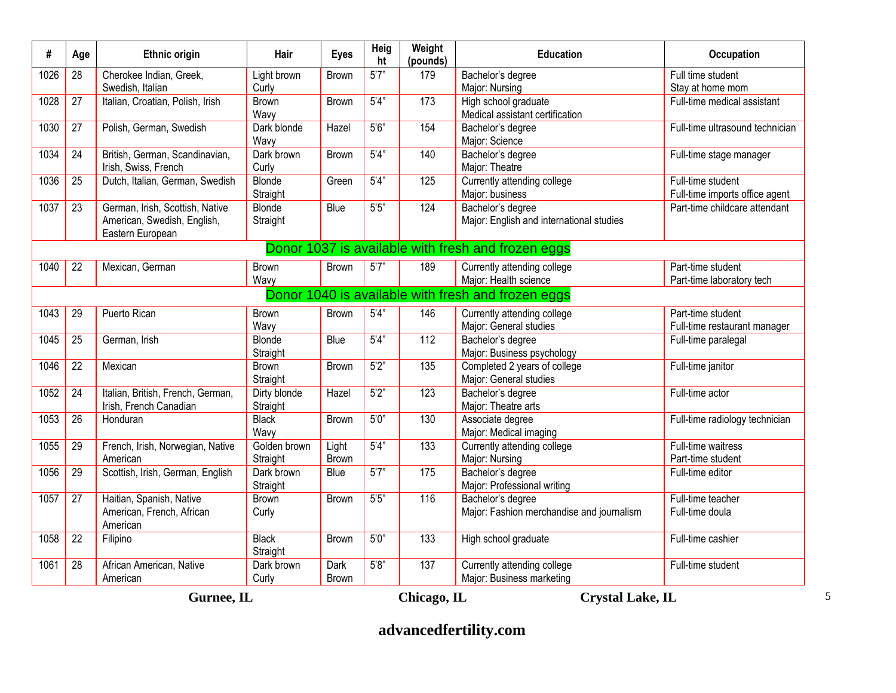| #                  | Age                                                  | <b>Ethnic origin</b>                                                               | Hair                     | <b>Eyes</b>    | Heig<br>ht         | Weight<br>(pounds) | <b>Education</b>                                               | <b>Occupation</b>                                   |  |  |
|--------------------|------------------------------------------------------|------------------------------------------------------------------------------------|--------------------------|----------------|--------------------|--------------------|----------------------------------------------------------------|-----------------------------------------------------|--|--|
| 1026               | 28                                                   | Cherokee Indian, Greek,<br>Swedish, Italian                                        | Light brown<br>Curly     | Brown          | 5'7''              | 179                | Bachelor's degree<br>Major: Nursing                            | Full time student<br>Stay at home mom               |  |  |
| 1028               | $\overline{27}$                                      | Italian, Croatian, Polish, Irish                                                   | <b>Brown</b><br>Wavy     | <b>Brown</b>   | 5'4"               | 173                | High school graduate<br>Medical assistant certification        | Full-time medical assistant                         |  |  |
| 1030               | 27                                                   | Polish, German, Swedish                                                            | Dark blonde<br>Wavy      | Hazel          | 5'6''              | 154                | Bachelor's degree<br>Major: Science                            | Full-time ultrasound technician                     |  |  |
| 1034               | $\overline{24}$                                      | British, German, Scandinavian,<br>Irish, Swiss, French                             | Dark brown<br>Curly      | Brown          | 5'4"               | 140                | Bachelor's degree<br>Major: Theatre                            | Full-time stage manager                             |  |  |
| 1036               | 25                                                   | Dutch, Italian, German, Swedish                                                    | Blonde<br>Straight       | Green          | 5'4"               | 125                | Currently attending college<br>Major: business                 | Full-time student<br>Full-time imports office agent |  |  |
| 1037               | 23                                                   | German, Irish, Scottish, Native<br>American, Swedish, English,<br>Eastern European | Blonde<br>Straight       | Blue           | $5.5"$             | 124                | Bachelor's degree<br>Major: English and international studies  | Part-time childcare attendant                       |  |  |
|                    | Donor 1037 is available with fresh and frozen eggs   |                                                                                    |                          |                |                    |                    |                                                                |                                                     |  |  |
| 1040               | 22                                                   | Mexican, German                                                                    | Brown<br>Wavy            | Brown          | 5'7"               | 189                | Currently attending college<br>Major: Health science           | Part-time student<br>Part-time laboratory tech      |  |  |
|                    | Donor 1040 is available with fresh and frozen eggs   |                                                                                    |                          |                |                    |                    |                                                                |                                                     |  |  |
| 1043               | 29                                                   | Puerto Rican                                                                       | Brown<br>Wavy            | Brown          | 5'4''              | 146                | Currently attending college<br>Major: General studies          | Part-time student<br>Full-time restaurant manager   |  |  |
| 1045               | 25                                                   | German, Irish                                                                      | Blonde<br>Straight       | Blue           | 5'4"               | 112                | Bachelor's degree<br>Major: Business psychology                | Full-time paralegal                                 |  |  |
| 1046               | 22                                                   | Mexican                                                                            | Brown<br>Straight        | Brown          | 5'2"               | 135                | Completed 2 years of college<br>Major: General studies         | Full-time janitor                                   |  |  |
| 1052               | 24                                                   | Italian, British, French, German,<br>Irish, French Canadian                        | Dirty blonde<br>Straight | Hazel          | 5'2"               | 123                | Bachelor's degree<br>Major: Theatre arts                       | Full-time actor                                     |  |  |
| 1053               | $\overline{26}$                                      | Honduran                                                                           | <b>Black</b><br>Wavy     | Brown          | 5'0''              | 130                | Associate degree<br>Major: Medical imaging                     | Full-time radiology technician                      |  |  |
| 1055               | 29                                                   | French, Irish, Norwegian, Native<br>American                                       | Golden brown<br>Straight | Light<br>Brown | $\overline{5'4''}$ | $\overline{133}$   | Currently attending college<br>Major: Nursing                  | Full-time waitress<br>Part-time student             |  |  |
| 1056               | 29                                                   | Scottish, Irish, German, English                                                   | Dark brown<br>Straight   | Blue           | 5'7''              | 175                | Bachelor's degree<br>Major: Professional writing               | Full-time editor                                    |  |  |
| $\frac{1057}{200}$ | $\overline{27}$                                      | Haitian, Spanish, Native<br>American, French, African<br>American                  | Brown<br>Curly           | Brown          | 5'5"               | 116                | Bachelor's degree<br>Major: Fashion merchandise and journalism | Full-time teacher<br>Full-time doula                |  |  |
| 1058               | 22                                                   | Filipino                                                                           | <b>Black</b><br>Straight | Brown          | 5'0''              | 133                | High school graduate                                           | Full-time cashier                                   |  |  |
| 1061               | 28                                                   | African American, Native<br>American                                               | Dark brown<br>Curly      | Dark<br>Brown  | 5'8"               | 137                | Currently attending college<br>Major: Business marketing       | Full-time student                                   |  |  |
|                    | <b>Crystal Lake, IL</b><br>Gurnee, IL<br>Chicago, IL |                                                                                    |                          |                |                    |                    |                                                                |                                                     |  |  |

5